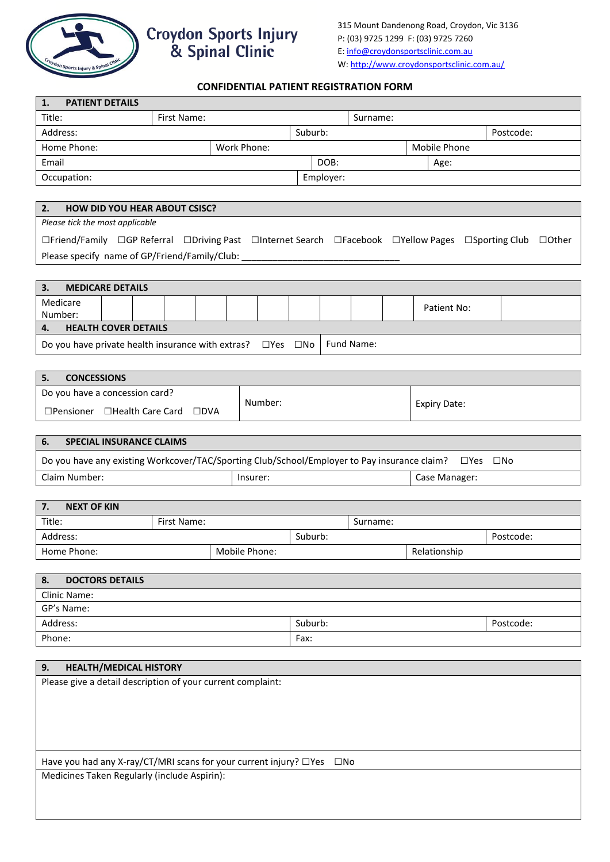

## **CONFIDENTIAL PATIENT REGISTRATION FORM**

| 1.<br><b>PATIENT DETAILS</b>                                                                                               |                         |               |               |                     |              |           |  |
|----------------------------------------------------------------------------------------------------------------------------|-------------------------|---------------|---------------|---------------------|--------------|-----------|--|
| Title:                                                                                                                     | First Name:             |               |               | Surname:            |              |           |  |
| Address:                                                                                                                   |                         |               | Suburb:       |                     |              | Postcode: |  |
| Home Phone:                                                                                                                |                         | Work Phone:   |               |                     | Mobile Phone |           |  |
| Email                                                                                                                      |                         |               | DOB:          |                     | Age:         |           |  |
| Occupation:                                                                                                                |                         |               | Employer:     |                     |              |           |  |
|                                                                                                                            |                         |               |               |                     |              |           |  |
| 2.<br><b>HOW DID YOU HEAR ABOUT CSISC?</b>                                                                                 |                         |               |               |                     |              |           |  |
| Please tick the most applicable                                                                                            |                         |               |               |                     |              |           |  |
| □Friend/Family □GP Referral □Driving Past □Internet Search □Facebook □Yellow Pages □Sporting Club<br>$\Box$ Other          |                         |               |               |                     |              |           |  |
| Please specify name of GP/Friend/Family/Club: __________                                                                   |                         |               |               |                     |              |           |  |
|                                                                                                                            |                         |               |               |                     |              |           |  |
| 3.<br><b>MEDICARE DETAILS</b>                                                                                              |                         |               |               |                     |              |           |  |
| Medicare                                                                                                                   |                         |               |               |                     |              |           |  |
| Number:                                                                                                                    |                         |               |               |                     | Patient No:  |           |  |
| <b>HEALTH COVER DETAILS</b><br>4.                                                                                          |                         |               |               |                     |              |           |  |
| Fund Name:<br>Do you have private health insurance with extras? $\square$ Yes $\square$ No                                 |                         |               |               |                     |              |           |  |
|                                                                                                                            |                         |               |               |                     |              |           |  |
| 5.<br><b>CONCESSIONS</b>                                                                                                   |                         |               |               |                     |              |           |  |
| Do you have a concession card?                                                                                             |                         |               |               |                     |              |           |  |
|                                                                                                                            |                         | Number:       |               | <b>Expiry Date:</b> |              |           |  |
| □Pensioner □Health Care Card □DVA                                                                                          |                         |               |               |                     |              |           |  |
|                                                                                                                            |                         |               |               |                     |              |           |  |
| 6.<br><b>SPECIAL INSURANCE CLAIMS</b>                                                                                      |                         |               |               |                     |              |           |  |
| Do you have any existing Workcover/TAC/Sporting Club/School/Employer to Pay insurance claim?<br>$\square$ Yes $\square$ No |                         |               |               |                     |              |           |  |
| Claim Number:<br>Insurer:                                                                                                  |                         |               | Case Manager: |                     |              |           |  |
|                                                                                                                            |                         |               |               |                     |              |           |  |
| 7.<br><b>NEXT OF KIN</b>                                                                                                   |                         |               |               |                     |              |           |  |
| Title:                                                                                                                     | First Name:<br>Surname: |               |               |                     |              |           |  |
| Address:                                                                                                                   |                         |               |               | Suburb:             |              | Postcode: |  |
| Home Phone:                                                                                                                |                         | Mobile Phone: |               |                     | Relationship |           |  |
|                                                                                                                            |                         |               |               |                     |              |           |  |
| <b>DOCTORS DETAILS</b><br>8.                                                                                               |                         |               |               |                     |              |           |  |
| Clinic Name:<br>GP's Name:                                                                                                 |                         |               |               |                     |              |           |  |
|                                                                                                                            |                         |               | Suburb:       |                     |              |           |  |
| Address:                                                                                                                   |                         |               | Postcode:     |                     |              |           |  |
| Phone:                                                                                                                     |                         |               | Fax:          |                     |              |           |  |
| 9.<br><b>HEALTH/MEDICAL HISTORY</b>                                                                                        |                         |               |               |                     |              |           |  |
| Please give a detail description of your current complaint:                                                                |                         |               |               |                     |              |           |  |
|                                                                                                                            |                         |               |               |                     |              |           |  |
|                                                                                                                            |                         |               |               |                     |              |           |  |
|                                                                                                                            |                         |               |               |                     |              |           |  |
|                                                                                                                            |                         |               |               |                     |              |           |  |
|                                                                                                                            |                         |               |               |                     |              |           |  |
| Have you had any X-ray/CT/MRI scans for your current injury? $\Box$ Yes                                                    |                         |               | $\square$ No  |                     |              |           |  |
| Medicines Taken Regularly (include Aspirin):                                                                               |                         |               |               |                     |              |           |  |
|                                                                                                                            |                         |               |               |                     |              |           |  |